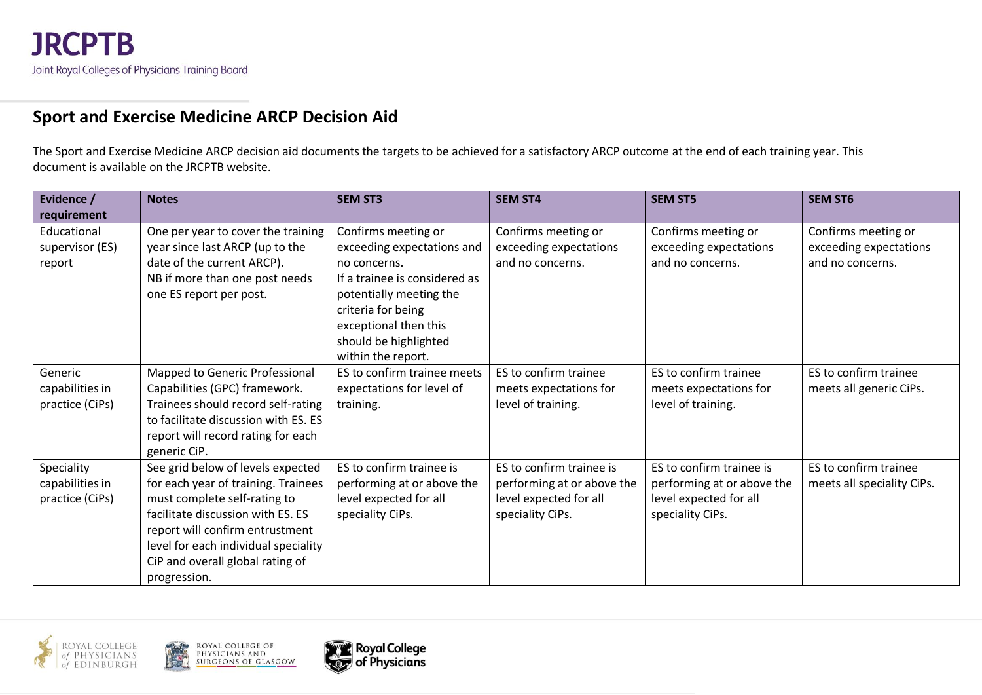#### **Sport and Exercise Medicine ARCP Decision Aid**

The Sport and Exercise Medicine ARCP decision aid documents the targets to be achieved for a satisfactory ARCP outcome at the end of each training year. This document is available on the JRCPTB website.

| Evidence /<br>requirement                        | <b>Notes</b>                                                                                                                                                                                                                                                                 | <b>SEM ST3</b>                                                                                                                                                                                                              | <b>SEM ST4</b>                                                                                       | <b>SEM ST5</b>                                                                                       | <b>SEM ST6</b>                                                    |
|--------------------------------------------------|------------------------------------------------------------------------------------------------------------------------------------------------------------------------------------------------------------------------------------------------------------------------------|-----------------------------------------------------------------------------------------------------------------------------------------------------------------------------------------------------------------------------|------------------------------------------------------------------------------------------------------|------------------------------------------------------------------------------------------------------|-------------------------------------------------------------------|
| Educational<br>supervisor (ES)<br>report         | One per year to cover the training<br>year since last ARCP (up to the<br>date of the current ARCP).<br>NB if more than one post needs<br>one ES report per post.                                                                                                             | Confirms meeting or<br>exceeding expectations and<br>no concerns.<br>If a trainee is considered as<br>potentially meeting the<br>criteria for being<br>exceptional then this<br>should be highlighted<br>within the report. | Confirms meeting or<br>exceeding expectations<br>and no concerns.                                    | Confirms meeting or<br>exceeding expectations<br>and no concerns.                                    | Confirms meeting or<br>exceeding expectations<br>and no concerns. |
| Generic<br>capabilities in<br>practice (CiPs)    | Mapped to Generic Professional<br>Capabilities (GPC) framework.<br>Trainees should record self-rating<br>to facilitate discussion with ES. ES<br>report will record rating for each<br>generic CiP.                                                                          | ES to confirm trainee meets<br>expectations for level of<br>training.                                                                                                                                                       | ES to confirm trainee<br>meets expectations for<br>level of training.                                | ES to confirm trainee<br>meets expectations for<br>level of training.                                | ES to confirm trainee<br>meets all generic CiPs.                  |
| Speciality<br>capabilities in<br>practice (CiPs) | See grid below of levels expected<br>for each year of training. Trainees<br>must complete self-rating to<br>facilitate discussion with ES. ES<br>report will confirm entrustment<br>level for each individual speciality<br>CiP and overall global rating of<br>progression. | ES to confirm trainee is<br>performing at or above the<br>level expected for all<br>speciality CiPs.                                                                                                                        | ES to confirm trainee is<br>performing at or above the<br>level expected for all<br>speciality CiPs. | ES to confirm trainee is<br>performing at or above the<br>level expected for all<br>speciality CiPs. | ES to confirm trainee<br>meets all speciality CiPs.               |



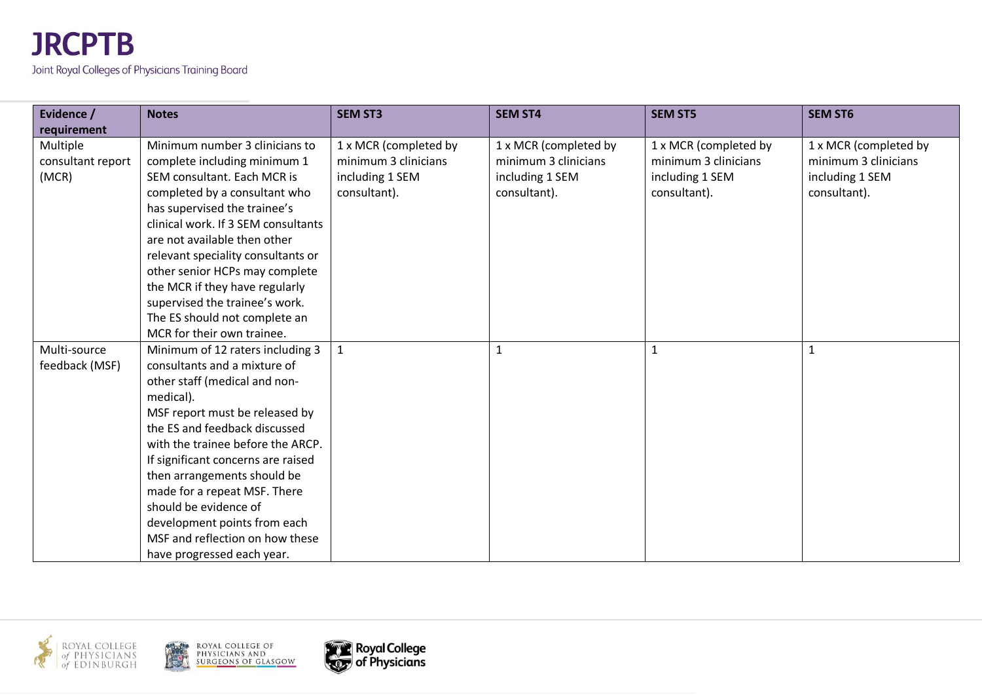| Evidence /        | <b>Notes</b>                        | <b>SEM ST3</b>        | <b>SEM ST4</b>        | <b>SEM ST5</b>        | <b>SEM ST6</b>        |
|-------------------|-------------------------------------|-----------------------|-----------------------|-----------------------|-----------------------|
| requirement       |                                     |                       |                       |                       |                       |
| Multiple          | Minimum number 3 clinicians to      | 1 x MCR (completed by | 1 x MCR (completed by | 1 x MCR (completed by | 1 x MCR (completed by |
| consultant report | complete including minimum 1        | minimum 3 clinicians  | minimum 3 clinicians  | minimum 3 clinicians  | minimum 3 clinicians  |
| (MCR)             | SEM consultant. Each MCR is         | including 1 SEM       | including 1 SEM       | including 1 SEM       | including 1 SEM       |
|                   | completed by a consultant who       | consultant).          | consultant).          | consultant).          | consultant).          |
|                   | has supervised the trainee's        |                       |                       |                       |                       |
|                   | clinical work. If 3 SEM consultants |                       |                       |                       |                       |
|                   | are not available then other        |                       |                       |                       |                       |
|                   | relevant speciality consultants or  |                       |                       |                       |                       |
|                   | other senior HCPs may complete      |                       |                       |                       |                       |
|                   | the MCR if they have regularly      |                       |                       |                       |                       |
|                   | supervised the trainee's work.      |                       |                       |                       |                       |
|                   | The ES should not complete an       |                       |                       |                       |                       |
|                   | MCR for their own trainee.          |                       |                       |                       |                       |
| Multi-source      | Minimum of 12 raters including 3    | $\mathbf{1}$          |                       |                       | $\mathbf{1}$          |
| feedback (MSF)    | consultants and a mixture of        |                       |                       |                       |                       |
|                   | other staff (medical and non-       |                       |                       |                       |                       |
|                   | medical).                           |                       |                       |                       |                       |
|                   | MSF report must be released by      |                       |                       |                       |                       |
|                   | the ES and feedback discussed       |                       |                       |                       |                       |
|                   | with the trainee before the ARCP.   |                       |                       |                       |                       |
|                   | If significant concerns are raised  |                       |                       |                       |                       |
|                   | then arrangements should be         |                       |                       |                       |                       |
|                   | made for a repeat MSF. There        |                       |                       |                       |                       |
|                   | should be evidence of               |                       |                       |                       |                       |
|                   | development points from each        |                       |                       |                       |                       |
|                   | MSF and reflection on how these     |                       |                       |                       |                       |
|                   | have progressed each year.          |                       |                       |                       |                       |





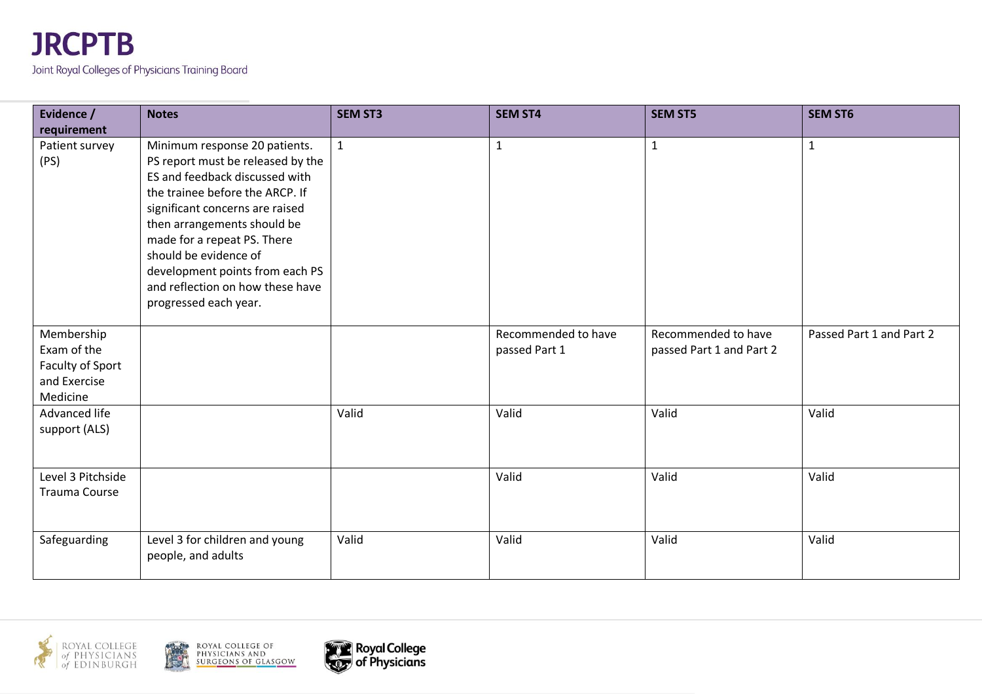

| Evidence /                                                                | <b>Notes</b>                                                                                                                                                                                                                                                                                                                                                      | <b>SEM ST3</b> | <b>SEM ST4</b>                       | <b>SEM ST5</b>                                  | <b>SEM ST6</b>           |
|---------------------------------------------------------------------------|-------------------------------------------------------------------------------------------------------------------------------------------------------------------------------------------------------------------------------------------------------------------------------------------------------------------------------------------------------------------|----------------|--------------------------------------|-------------------------------------------------|--------------------------|
| requirement                                                               |                                                                                                                                                                                                                                                                                                                                                                   |                |                                      |                                                 |                          |
| Patient survey<br>(PS)                                                    | Minimum response 20 patients.<br>PS report must be released by the<br>ES and feedback discussed with<br>the trainee before the ARCP. If<br>significant concerns are raised<br>then arrangements should be<br>made for a repeat PS. There<br>should be evidence of<br>development points from each PS<br>and reflection on how these have<br>progressed each year. | $\mathbf{1}$   | $\mathbf{1}$                         | $\mathbf{1}$                                    | $\mathbf{1}$             |
| Membership<br>Exam of the<br>Faculty of Sport<br>and Exercise<br>Medicine |                                                                                                                                                                                                                                                                                                                                                                   |                | Recommended to have<br>passed Part 1 | Recommended to have<br>passed Part 1 and Part 2 | Passed Part 1 and Part 2 |
| Advanced life<br>support (ALS)                                            |                                                                                                                                                                                                                                                                                                                                                                   | Valid          | Valid                                | Valid                                           | Valid                    |
| Level 3 Pitchside<br><b>Trauma Course</b>                                 |                                                                                                                                                                                                                                                                                                                                                                   |                | Valid                                | Valid                                           | Valid                    |
| Safeguarding                                                              | Level 3 for children and young<br>people, and adults                                                                                                                                                                                                                                                                                                              | Valid          | Valid                                | Valid                                           | Valid                    |



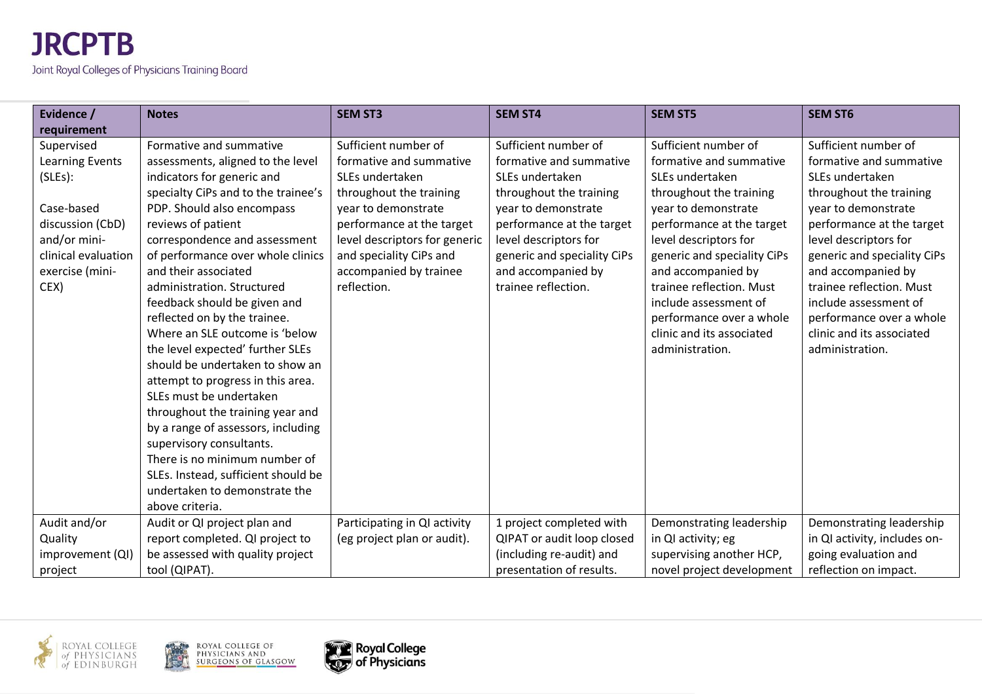| Evidence /          | <b>Notes</b>                                              | <b>SEM ST3</b>                | <b>SEM ST4</b>              | <b>SEM ST5</b>              | <b>SEM ST6</b>               |
|---------------------|-----------------------------------------------------------|-------------------------------|-----------------------------|-----------------------------|------------------------------|
| requirement         |                                                           |                               |                             |                             |                              |
| Supervised          | Formative and summative                                   | Sufficient number of          | Sufficient number of        | Sufficient number of        | Sufficient number of         |
| Learning Events     | assessments, aligned to the level                         | formative and summative       | formative and summative     | formative and summative     | formative and summative      |
| (SLES):             | indicators for generic and                                | SLEs undertaken               | SLEs undertaken             | SLEs undertaken             | SLEs undertaken              |
|                     | specialty CiPs and to the trainee's                       | throughout the training       | throughout the training     | throughout the training     | throughout the training      |
| Case-based          | PDP. Should also encompass                                | year to demonstrate           | year to demonstrate         | year to demonstrate         | year to demonstrate          |
| discussion (CbD)    | reviews of patient                                        | performance at the target     | performance at the target   | performance at the target   | performance at the target    |
| and/or mini-        | correspondence and assessment                             | level descriptors for generic | level descriptors for       | level descriptors for       | level descriptors for        |
| clinical evaluation | of performance over whole clinics                         | and speciality CiPs and       | generic and speciality CiPs | generic and speciality CiPs | generic and speciality CiPs  |
| exercise (mini-     | and their associated                                      | accompanied by trainee        | and accompanied by          | and accompanied by          | and accompanied by           |
| CEX)                | administration. Structured                                | reflection.                   | trainee reflection.         | trainee reflection. Must    | trainee reflection. Must     |
|                     | feedback should be given and                              |                               |                             | include assessment of       | include assessment of        |
|                     | reflected on by the trainee.                              |                               |                             | performance over a whole    | performance over a whole     |
|                     | Where an SLE outcome is 'below                            |                               |                             | clinic and its associated   | clinic and its associated    |
|                     | the level expected' further SLEs                          |                               |                             | administration.             | administration.              |
|                     | should be undertaken to show an                           |                               |                             |                             |                              |
|                     | attempt to progress in this area.                         |                               |                             |                             |                              |
|                     | SLEs must be undertaken                                   |                               |                             |                             |                              |
|                     | throughout the training year and                          |                               |                             |                             |                              |
|                     | by a range of assessors, including                        |                               |                             |                             |                              |
|                     | supervisory consultants.<br>There is no minimum number of |                               |                             |                             |                              |
|                     | SLEs. Instead, sufficient should be                       |                               |                             |                             |                              |
|                     | undertaken to demonstrate the                             |                               |                             |                             |                              |
|                     | above criteria.                                           |                               |                             |                             |                              |
| Audit and/or        | Audit or QI project plan and                              | Participating in QI activity  | 1 project completed with    | Demonstrating leadership    | Demonstrating leadership     |
| Quality             | report completed. QI project to                           | (eg project plan or audit).   | QIPAT or audit loop closed  | in QI activity; eg          | in QI activity, includes on- |
| improvement (QI)    | be assessed with quality project                          |                               | (including re-audit) and    | supervising another HCP,    | going evaluation and         |
| project             | tool (QIPAT).                                             |                               | presentation of results.    | novel project development   | reflection on impact.        |



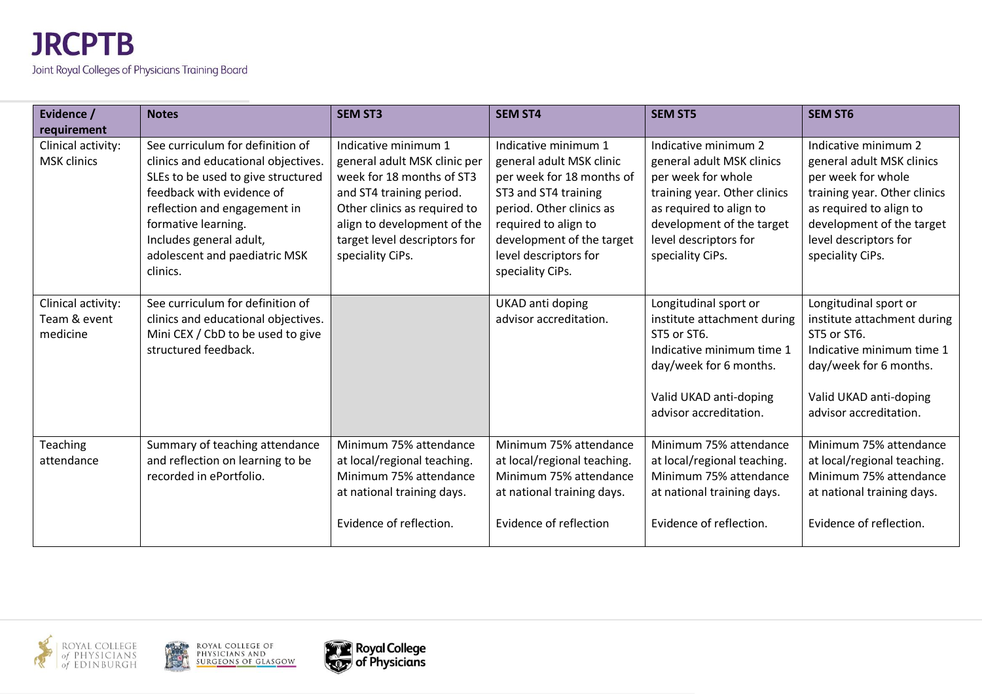| Evidence /<br>requirement                      | <b>Notes</b>                                                                                                                                                                                                                                                              | <b>SEM ST3</b>                                                                                                                                                                                                                   | <b>SEM ST4</b>                                                                                                                                                                                                                      | <b>SEM ST5</b>                                                                                                                                                                                               | <b>SEM ST6</b>                                                                                                                                                                                               |
|------------------------------------------------|---------------------------------------------------------------------------------------------------------------------------------------------------------------------------------------------------------------------------------------------------------------------------|----------------------------------------------------------------------------------------------------------------------------------------------------------------------------------------------------------------------------------|-------------------------------------------------------------------------------------------------------------------------------------------------------------------------------------------------------------------------------------|--------------------------------------------------------------------------------------------------------------------------------------------------------------------------------------------------------------|--------------------------------------------------------------------------------------------------------------------------------------------------------------------------------------------------------------|
| Clinical activity:<br>MSK clinics              | See curriculum for definition of<br>clinics and educational objectives.<br>SLEs to be used to give structured<br>feedback with evidence of<br>reflection and engagement in<br>formative learning.<br>Includes general adult,<br>adolescent and paediatric MSK<br>clinics. | Indicative minimum 1<br>general adult MSK clinic per<br>week for 18 months of ST3<br>and ST4 training period.<br>Other clinics as required to<br>align to development of the<br>target level descriptors for<br>speciality CiPs. | Indicative minimum 1<br>general adult MSK clinic<br>per week for 18 months of<br>ST3 and ST4 training<br>period. Other clinics as<br>required to align to<br>development of the target<br>level descriptors for<br>speciality CiPs. | Indicative minimum 2<br>general adult MSK clinics<br>per week for whole<br>training year. Other clinics<br>as required to align to<br>development of the target<br>level descriptors for<br>speciality CiPs. | Indicative minimum 2<br>general adult MSK clinics<br>per week for whole<br>training year. Other clinics<br>as required to align to<br>development of the target<br>level descriptors for<br>speciality CiPs. |
| Clinical activity:<br>Team & event<br>medicine | See curriculum for definition of<br>clinics and educational objectives.<br>Mini CEX / CbD to be used to give<br>structured feedback.                                                                                                                                      |                                                                                                                                                                                                                                  | UKAD anti doping<br>advisor accreditation.                                                                                                                                                                                          | Longitudinal sport or<br>institute attachment during<br>ST5 or ST6.<br>Indicative minimum time 1<br>day/week for 6 months.<br>Valid UKAD anti-doping<br>advisor accreditation.                               | Longitudinal sport or<br>institute attachment during<br>ST5 or ST6.<br>Indicative minimum time 1<br>day/week for 6 months.<br>Valid UKAD anti-doping<br>advisor accreditation.                               |
| <b>Teaching</b><br>attendance                  | Summary of teaching attendance<br>and reflection on learning to be<br>recorded in ePortfolio.                                                                                                                                                                             | Minimum 75% attendance<br>at local/regional teaching.<br>Minimum 75% attendance<br>at national training days.<br>Evidence of reflection.                                                                                         | Minimum 75% attendance<br>at local/regional teaching.<br>Minimum 75% attendance<br>at national training days.<br>Evidence of reflection                                                                                             | Minimum 75% attendance<br>at local/regional teaching.<br>Minimum 75% attendance<br>at national training days.<br>Evidence of reflection.                                                                     | Minimum 75% attendance<br>at local/regional teaching.<br>Minimum 75% attendance<br>at national training days.<br>Evidence of reflection.                                                                     |





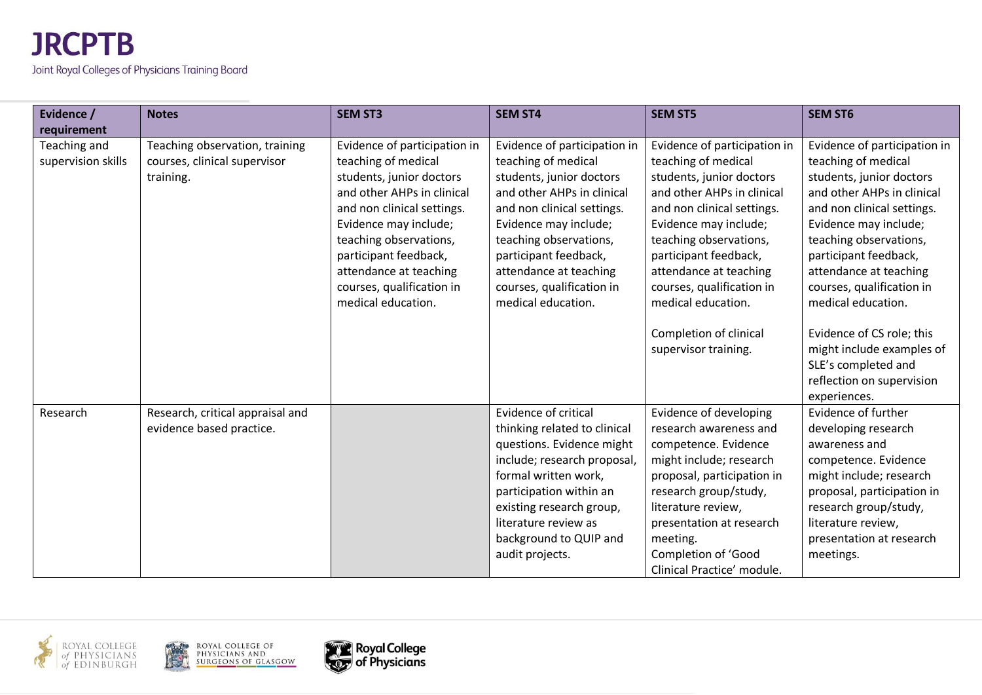| Evidence /                         | <b>Notes</b>                                                                | <b>SEM ST3</b>                                                                                                                                                                                                                                                                                       | <b>SEM ST4</b>                                                                                                                                                                                                                                                                                       | <b>SEM ST5</b>                                                                                                                                                                                                                                                                                                                 | <b>SEM ST6</b>                                                                                                                                                                                                                                                                                                                    |
|------------------------------------|-----------------------------------------------------------------------------|------------------------------------------------------------------------------------------------------------------------------------------------------------------------------------------------------------------------------------------------------------------------------------------------------|------------------------------------------------------------------------------------------------------------------------------------------------------------------------------------------------------------------------------------------------------------------------------------------------------|--------------------------------------------------------------------------------------------------------------------------------------------------------------------------------------------------------------------------------------------------------------------------------------------------------------------------------|-----------------------------------------------------------------------------------------------------------------------------------------------------------------------------------------------------------------------------------------------------------------------------------------------------------------------------------|
| requirement                        |                                                                             |                                                                                                                                                                                                                                                                                                      |                                                                                                                                                                                                                                                                                                      |                                                                                                                                                                                                                                                                                                                                |                                                                                                                                                                                                                                                                                                                                   |
| Teaching and<br>supervision skills | Teaching observation, training<br>courses, clinical supervisor<br>training. | Evidence of participation in<br>teaching of medical<br>students, junior doctors<br>and other AHPs in clinical<br>and non clinical settings.<br>Evidence may include;<br>teaching observations,<br>participant feedback,<br>attendance at teaching<br>courses, qualification in<br>medical education. | Evidence of participation in<br>teaching of medical<br>students, junior doctors<br>and other AHPs in clinical<br>and non clinical settings.<br>Evidence may include;<br>teaching observations,<br>participant feedback,<br>attendance at teaching<br>courses, qualification in<br>medical education. | Evidence of participation in<br>teaching of medical<br>students, junior doctors<br>and other AHPs in clinical<br>and non clinical settings.<br>Evidence may include;<br>teaching observations,<br>participant feedback,<br>attendance at teaching<br>courses, qualification in<br>medical education.<br>Completion of clinical | Evidence of participation in<br>teaching of medical<br>students, junior doctors<br>and other AHPs in clinical<br>and non clinical settings.<br>Evidence may include;<br>teaching observations,<br>participant feedback,<br>attendance at teaching<br>courses, qualification in<br>medical education.<br>Evidence of CS role; this |
|                                    |                                                                             |                                                                                                                                                                                                                                                                                                      |                                                                                                                                                                                                                                                                                                      | supervisor training.                                                                                                                                                                                                                                                                                                           | might include examples of<br>SLE's completed and<br>reflection on supervision<br>experiences.                                                                                                                                                                                                                                     |
| Research                           | Research, critical appraisal and<br>evidence based practice.                |                                                                                                                                                                                                                                                                                                      | Evidence of critical<br>thinking related to clinical<br>questions. Evidence might<br>include; research proposal,<br>formal written work,<br>participation within an<br>existing research group,<br>literature review as<br>background to QUIP and<br>audit projects.                                 | Evidence of developing<br>research awareness and<br>competence. Evidence<br>might include; research<br>proposal, participation in<br>research group/study,<br>literature review,<br>presentation at research<br>meeting.<br>Completion of 'Good<br>Clinical Practice' module.                                                  | Evidence of further<br>developing research<br>awareness and<br>competence. Evidence<br>might include; research<br>proposal, participation in<br>research group/study,<br>literature review,<br>presentation at research<br>meetings.                                                                                              |



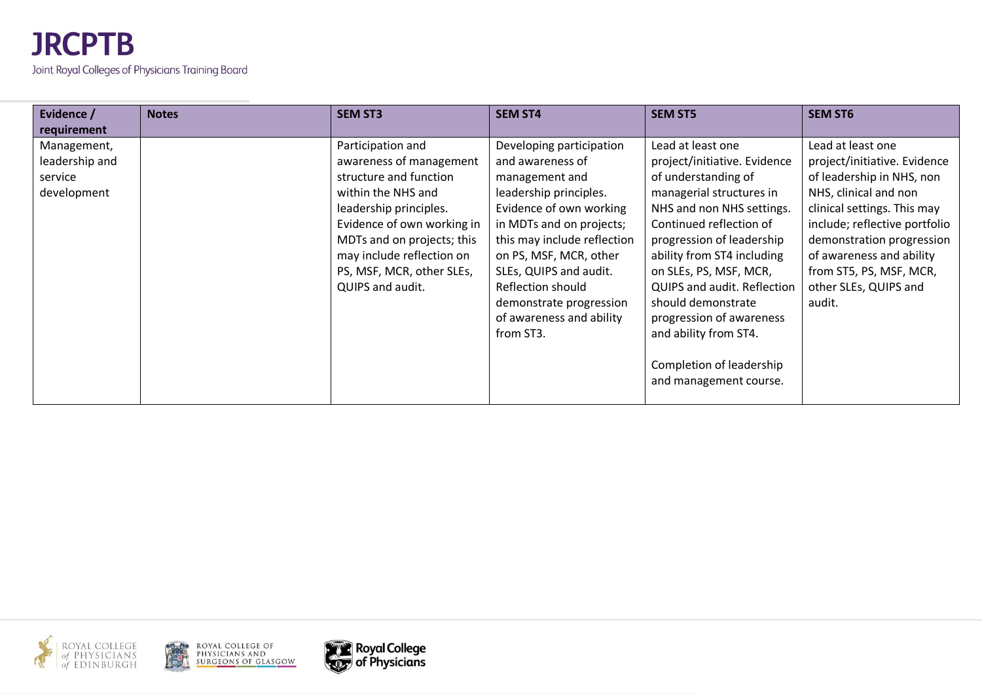| Evidence /<br>requirement                               | <b>Notes</b> | <b>SEM ST3</b>                                                                                                                                                                                                                                                   | <b>SEM ST4</b>                                                                                                                                                                                                                                                                                                              | <b>SEM ST5</b>                                                                                                                                                                                                                                                                                                                                                                                                           | <b>SEM ST6</b>                                                                                                                                                                                                                                                                                 |
|---------------------------------------------------------|--------------|------------------------------------------------------------------------------------------------------------------------------------------------------------------------------------------------------------------------------------------------------------------|-----------------------------------------------------------------------------------------------------------------------------------------------------------------------------------------------------------------------------------------------------------------------------------------------------------------------------|--------------------------------------------------------------------------------------------------------------------------------------------------------------------------------------------------------------------------------------------------------------------------------------------------------------------------------------------------------------------------------------------------------------------------|------------------------------------------------------------------------------------------------------------------------------------------------------------------------------------------------------------------------------------------------------------------------------------------------|
| Management,<br>leadership and<br>service<br>development |              | Participation and<br>awareness of management<br>structure and function<br>within the NHS and<br>leadership principles.<br>Evidence of own working in<br>MDTs and on projects; this<br>may include reflection on<br>PS, MSF, MCR, other SLEs,<br>QUIPS and audit. | Developing participation<br>and awareness of<br>management and<br>leadership principles.<br>Evidence of own working<br>in MDTs and on projects;<br>this may include reflection<br>on PS, MSF, MCR, other<br>SLEs, QUIPS and audit.<br>Reflection should<br>demonstrate progression<br>of awareness and ability<br>from ST3. | Lead at least one<br>project/initiative. Evidence<br>of understanding of<br>managerial structures in<br>NHS and non NHS settings.<br>Continued reflection of<br>progression of leadership<br>ability from ST4 including<br>on SLEs, PS, MSF, MCR,<br><b>QUIPS and audit. Reflection</b><br>should demonstrate<br>progression of awareness<br>and ability from ST4.<br>Completion of leadership<br>and management course. | Lead at least one<br>project/initiative. Evidence<br>of leadership in NHS, non<br>NHS, clinical and non<br>clinical settings. This may<br>include; reflective portfolio<br>demonstration progression<br>of awareness and ability<br>from ST5, PS, MSF, MCR,<br>other SLEs, QUIPS and<br>audit. |





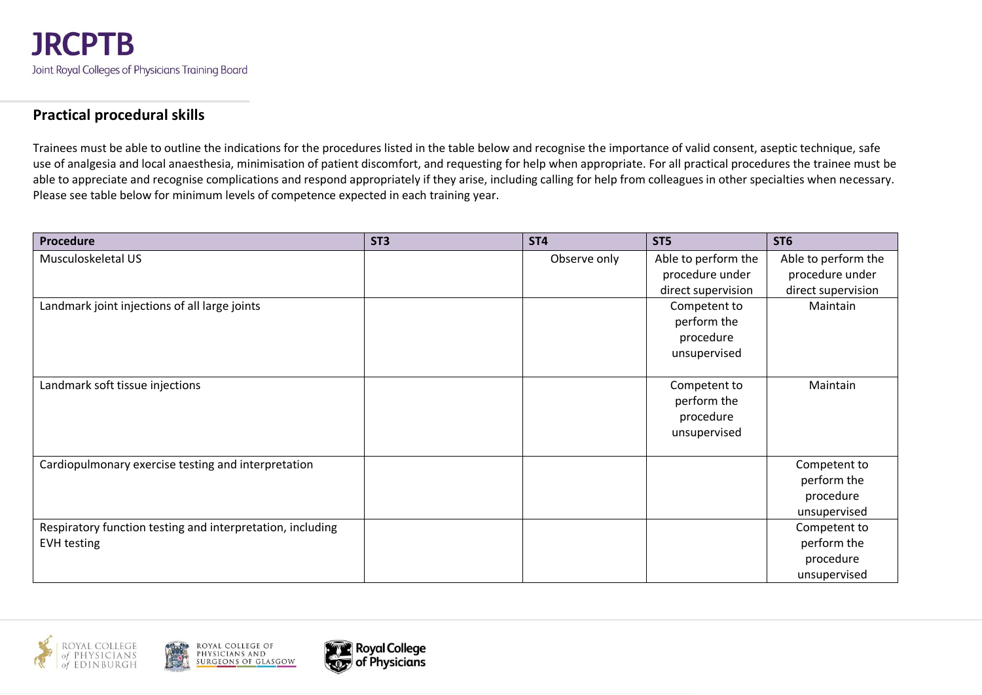#### **Practical procedural skills**

Trainees must be able to outline the indications for the procedures listed in the table below and recognise the importance of valid consent, aseptic technique, safe use of analgesia and local anaesthesia, minimisation of patient discomfort, and requesting for help when appropriate. For all practical procedures the trainee must be able to appreciate and recognise complications and respond appropriately if they arise, including calling for help from colleagues in other specialties when necessary. Please see table below for minimum levels of competence expected in each training year.

| Procedure                                                  | ST <sub>3</sub> | ST <sub>4</sub> | ST5                 | ST <sub>6</sub>     |
|------------------------------------------------------------|-----------------|-----------------|---------------------|---------------------|
| Musculoskeletal US                                         |                 | Observe only    | Able to perform the | Able to perform the |
|                                                            |                 |                 | procedure under     | procedure under     |
|                                                            |                 |                 | direct supervision  | direct supervision  |
| Landmark joint injections of all large joints              |                 |                 | Competent to        | Maintain            |
|                                                            |                 |                 | perform the         |                     |
|                                                            |                 |                 | procedure           |                     |
|                                                            |                 |                 | unsupervised        |                     |
|                                                            |                 |                 |                     |                     |
| Landmark soft tissue injections                            |                 |                 | Competent to        | Maintain            |
|                                                            |                 |                 | perform the         |                     |
|                                                            |                 |                 | procedure           |                     |
|                                                            |                 |                 | unsupervised        |                     |
|                                                            |                 |                 |                     |                     |
| Cardiopulmonary exercise testing and interpretation        |                 |                 |                     | Competent to        |
|                                                            |                 |                 |                     | perform the         |
|                                                            |                 |                 |                     | procedure           |
|                                                            |                 |                 |                     | unsupervised        |
| Respiratory function testing and interpretation, including |                 |                 |                     | Competent to        |
| <b>EVH testing</b>                                         |                 |                 |                     | perform the         |
|                                                            |                 |                 |                     | procedure           |
|                                                            |                 |                 |                     | unsupervised        |